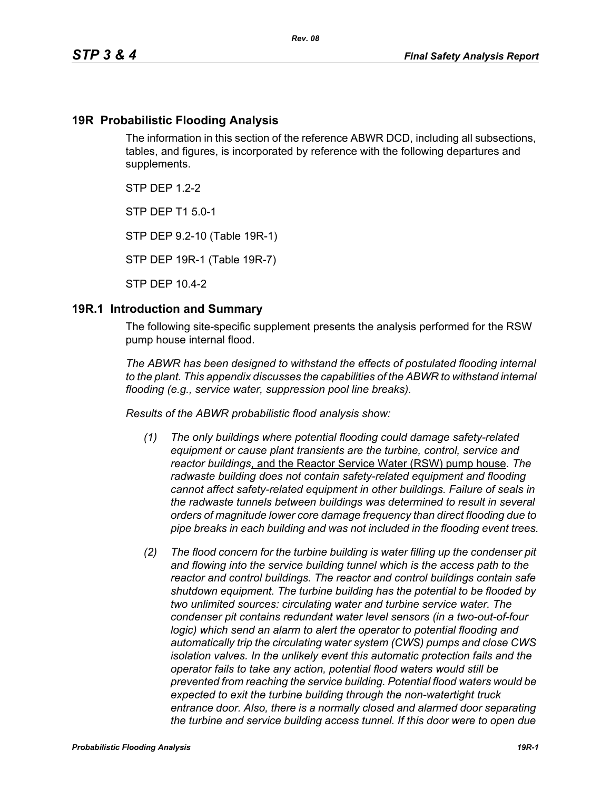#### **19R Probabilistic Flooding Analysis**

The information in this section of the reference ABWR DCD, including all subsections, tables, and figures, is incorporated by reference with the following departures and supplements.

 $STP$  DFP 12-2

STP DEP T1 5.0-1

STP DEP 9.2-10 (Table 19R-1)

STP DEP 19R-1 (Table 19R-7)

STP DEP 10.4-2

#### **19R.1 Introduction and Summary**

The following site-specific supplement presents the analysis performed for the RSW pump house internal flood.

*The ABWR has been designed to withstand the effects of postulated flooding internal to the plant. This appendix discusses the capabilities of the ABWR to withstand internal flooding (e.g., service water, suppression pool line breaks).*

*Results of the ABWR probabilistic flood analysis show:*

- *(1) The only buildings where potential flooding could damage safety-related equipment or cause plant transients are the turbine, control, service and reactor buildings*, and the Reactor Service Water (RSW) pump house*. The radwaste building does not contain safety-related equipment and flooding cannot affect safety-related equipment in other buildings. Failure of seals in the radwaste tunnels between buildings was determined to result in several orders of magnitude lower core damage frequency than direct flooding due to pipe breaks in each building and was not included in the flooding event trees.*
- *(2) The flood concern for the turbine building is water filling up the condenser pit and flowing into the service building tunnel which is the access path to the reactor and control buildings. The reactor and control buildings contain safe shutdown equipment. The turbine building has the potential to be flooded by two unlimited sources: circulating water and turbine service water. The condenser pit contains redundant water level sensors (in a two-out-of-four logic)* which send an alarm to alert the operator to potential flooding and *automatically trip the circulating water system (CWS) pumps and close CWS isolation valves. In the unlikely event this automatic protection fails and the operator fails to take any action, potential flood waters would still be prevented from reaching the service building. Potential flood waters would be expected to exit the turbine building through the non-watertight truck entrance door. Also, there is a normally closed and alarmed door separating the turbine and service building access tunnel. If this door were to open due*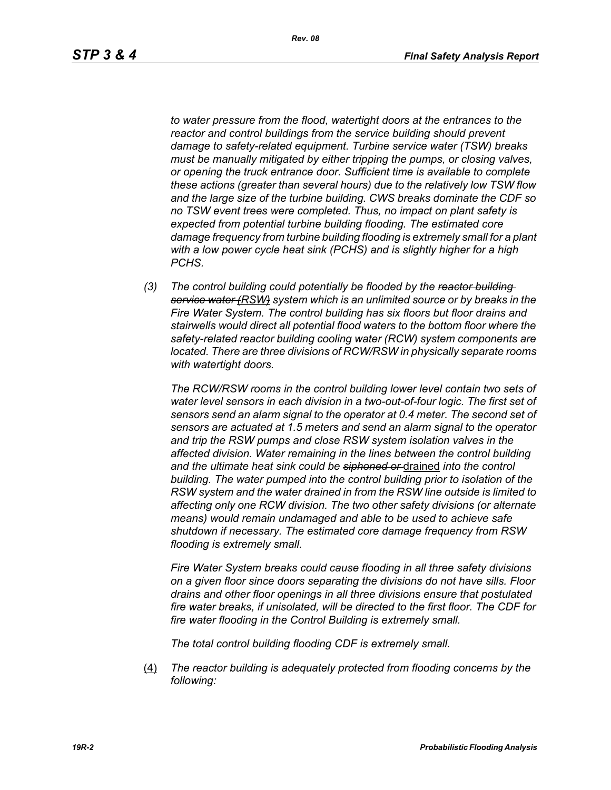*to water pressure from the flood, watertight doors at the entrances to the reactor and control buildings from the service building should prevent damage to safety-related equipment. Turbine service water (TSW) breaks must be manually mitigated by either tripping the pumps, or closing valves, or opening the truck entrance door. Sufficient time is available to complete these actions (greater than several hours) due to the relatively low TSW flow and the large size of the turbine building. CWS breaks dominate the CDF so no TSW event trees were completed. Thus, no impact on plant safety is expected from potential turbine building flooding. The estimated core damage frequency from turbine building flooding is extremely small for a plant with a low power cycle heat sink (PCHS) and is slightly higher for a high PCHS.*

*(3) The control building could potentially be flooded by the reactor building service water (RSW) system which is an unlimited source or by breaks in the Fire Water System. The control building has six floors but floor drains and stairwells would direct all potential flood waters to the bottom floor where the safety-related reactor building cooling water (RCW) system components are located. There are three divisions of RCW/RSW in physically separate rooms with watertight doors.*

*The RCW/RSW rooms in the control building lower level contain two sets of water level sensors in each division in a two-out-of-four logic. The first set of sensors send an alarm signal to the operator at 0.4 meter. The second set of sensors are actuated at 1.5 meters and send an alarm signal to the operator and trip the RSW pumps and close RSW system isolation valves in the affected division. Water remaining in the lines between the control building and the ultimate heat sink could be siphoned or* drained *into the control building. The water pumped into the control building prior to isolation of the RSW system and the water drained in from the RSW line outside is limited to affecting only one RCW division. The two other safety divisions (or alternate means) would remain undamaged and able to be used to achieve safe shutdown if necessary. The estimated core damage frequency from RSW flooding is extremely small.*

*Fire Water System breaks could cause flooding in all three safety divisions on a given floor since doors separating the divisions do not have sills. Floor drains and other floor openings in all three divisions ensure that postulated fire water breaks, if unisolated, will be directed to the first floor. The CDF for fire water flooding in the Control Building is extremely small.*

*The total control building flooding CDF is extremely small.*

(4) *The reactor building is adequately protected from flooding concerns by the following:*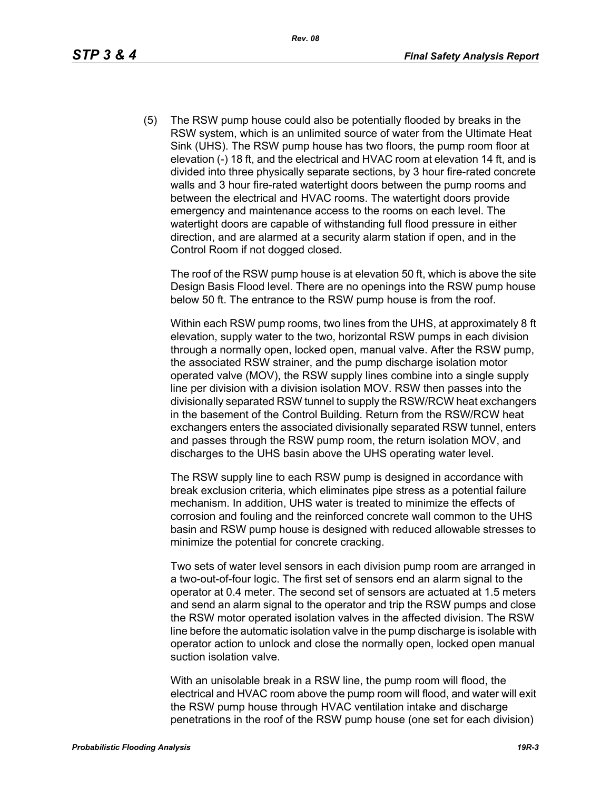(5) The RSW pump house could also be potentially flooded by breaks in the RSW system, which is an unlimited source of water from the Ultimate Heat Sink (UHS). The RSW pump house has two floors, the pump room floor at elevation (-) 18 ft, and the electrical and HVAC room at elevation 14 ft, and is divided into three physically separate sections, by 3 hour fire-rated concrete walls and 3 hour fire-rated watertight doors between the pump rooms and between the electrical and HVAC rooms. The watertight doors provide emergency and maintenance access to the rooms on each level. The watertight doors are capable of withstanding full flood pressure in either direction, and are alarmed at a security alarm station if open, and in the Control Room if not dogged closed.

The roof of the RSW pump house is at elevation 50 ft, which is above the site Design Basis Flood level. There are no openings into the RSW pump house below 50 ft. The entrance to the RSW pump house is from the roof.

Within each RSW pump rooms, two lines from the UHS, at approximately 8 ft elevation, supply water to the two, horizontal RSW pumps in each division through a normally open, locked open, manual valve. After the RSW pump, the associated RSW strainer, and the pump discharge isolation motor operated valve (MOV), the RSW supply lines combine into a single supply line per division with a division isolation MOV. RSW then passes into the divisionally separated RSW tunnel to supply the RSW/RCW heat exchangers in the basement of the Control Building. Return from the RSW/RCW heat exchangers enters the associated divisionally separated RSW tunnel, enters and passes through the RSW pump room, the return isolation MOV, and discharges to the UHS basin above the UHS operating water level.

The RSW supply line to each RSW pump is designed in accordance with break exclusion criteria, which eliminates pipe stress as a potential failure mechanism. In addition, UHS water is treated to minimize the effects of corrosion and fouling and the reinforced concrete wall common to the UHS basin and RSW pump house is designed with reduced allowable stresses to minimize the potential for concrete cracking.

Two sets of water level sensors in each division pump room are arranged in a two-out-of-four logic. The first set of sensors end an alarm signal to the operator at 0.4 meter. The second set of sensors are actuated at 1.5 meters and send an alarm signal to the operator and trip the RSW pumps and close the RSW motor operated isolation valves in the affected division. The RSW line before the automatic isolation valve in the pump discharge is isolable with operator action to unlock and close the normally open, locked open manual suction isolation valve.

With an unisolable break in a RSW line, the pump room will flood, the electrical and HVAC room above the pump room will flood, and water will exit the RSW pump house through HVAC ventilation intake and discharge penetrations in the roof of the RSW pump house (one set for each division)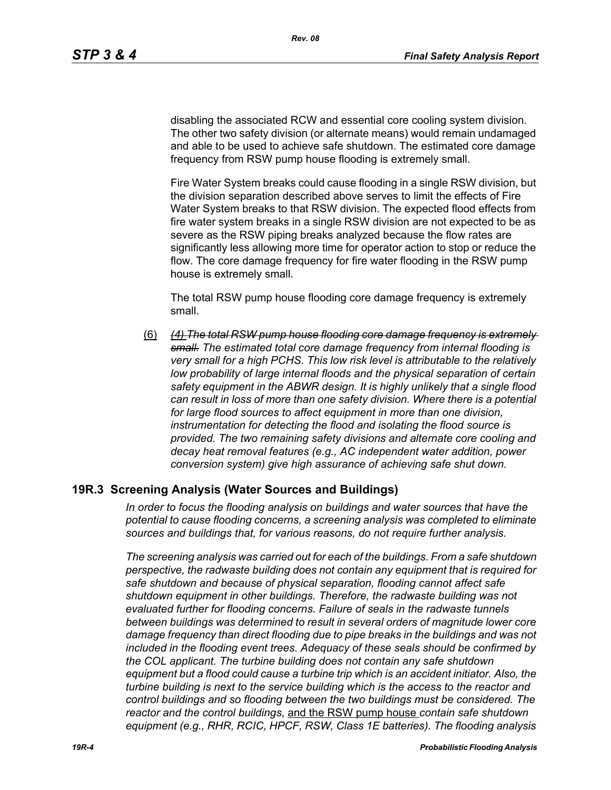disabling the associated RCW and essential core cooling system division. The other two safety division (or alternate means) would remain undamaged and able to be used to achieve safe shutdown. The estimated core damage frequency from RSW pump house flooding is extremely small.

Fire Water System breaks could cause flooding in a single RSW division, but the division separation described above serves to limit the effects of Fire Water System breaks to that RSW division. The expected flood effects from fire water system breaks in a single RSW division are not expected to be as severe as the RSW piping breaks analyzed because the flow rates are significantly less allowing more time for operator action to stop or reduce the flow. The core damage frequency for fire water flooding in the RSW pump house is extremely small.

The total RSW pump house flooding core damage frequency is extremely small.

(6) *(4) The total RSW pump house flooding core damage frequency is extremely small. The estimated total core damage frequency from internal flooding is very small for a high PCHS. This low risk level is attributable to the relatively*  low probability of large internal floods and the physical separation of certain *safety equipment in the ABWR design. It is highly unlikely that a single flood can result in loss of more than one safety division. Where there is a potential for large flood sources to affect equipment in more than one division, instrumentation for detecting the flood and isolating the flood source is provided. The two remaining safety divisions and alternate core cooling and decay heat removal features (e.g., AC independent water addition, power conversion system) give high assurance of achieving safe shut down.*

#### **19R.3 Screening Analysis (Water Sources and Buildings)**

*In order to focus the flooding analysis on buildings and water sources that have the potential to cause flooding concerns, a screening analysis was completed to eliminate sources and buildings that, for various reasons, do not require further analysis.*

*The screening analysis was carried out for each of the buildings. From a safe shutdown perspective, the radwaste building does not contain any equipment that is required for safe shutdown and because of physical separation, flooding cannot affect safe shutdown equipment in other buildings. Therefore, the radwaste building was not evaluated further for flooding concerns. Failure of seals in the radwaste tunnels between buildings was determined to result in several orders of magnitude lower core damage frequency than direct flooding due to pipe breaks in the buildings and was not included in the flooding event trees. Adequacy of these seals should be confirmed by the COL applicant. The turbine building does not contain any safe shutdown equipment but a flood could cause a turbine trip which is an accident initiator. Also, the turbine building is next to the service building which is the access to the reactor and control buildings and so flooding between the two buildings must be considered. The reactor and the control buildings*, and the RSW pump house *contain safe shutdown equipment (e.g., RHR, RCIC, HPCF, RSW, Class 1E batteries). The flooding analysis*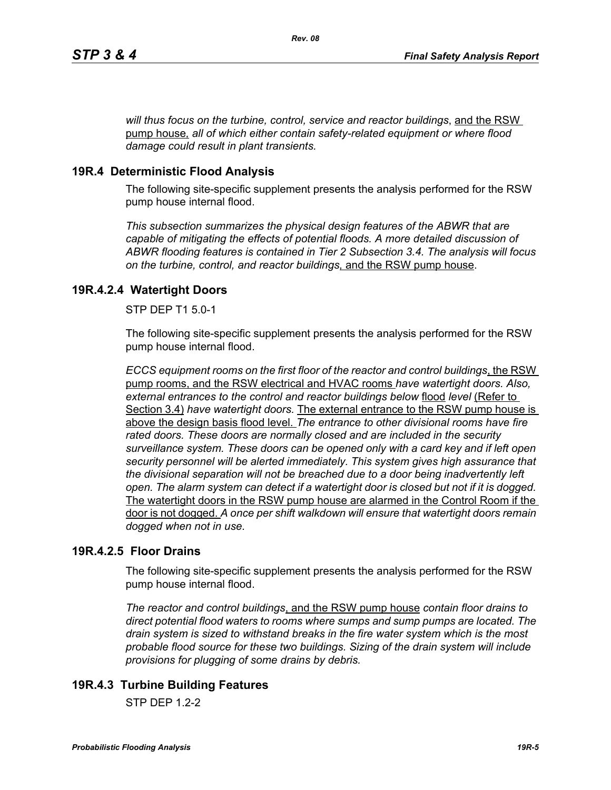*will thus focus on the turbine, control, service and reactor buildings*, and the RSW pump house*, all of which either contain safety-related equipment or where flood damage could result in plant transients.*

## **19R.4 Deterministic Flood Analysis**

The following site-specific supplement presents the analysis performed for the RSW pump house internal flood.

*This subsection summarizes the physical design features of the ABWR that are capable of mitigating the effects of potential floods. A more detailed discussion of ABWR flooding features is contained in Tier 2 Subsection 3.4. The analysis will focus on the turbine, control, and reactor buildings,* and the RSW pump house.

## **19R.4.2.4 Watertight Doors**

STP DEP T1 5.0-1

The following site-specific supplement presents the analysis performed for the RSW pump house internal flood.

*ECCS equipment rooms on the first floor of the reactor and control buildings*, the RSW pump rooms, and the RSW electrical and HVAC rooms *have watertight doors. Also, external entrances to the control and reactor buildings below* flood *level* (Refer to Section 3.4) *have watertight doors.* The external entrance to the RSW pump house is above the design basis flood level. *The entrance to other divisional rooms have fire rated doors. These doors are normally closed and are included in the security surveillance system. These doors can be opened only with a card key and if left open security personnel will be alerted immediately. This system gives high assurance that the divisional separation will not be breached due to a door being inadvertently left open. The alarm system can detect if a watertight door is closed but not if it is dogged.*  The watertight doors in the RSW pump house are alarmed in the Control Room if the door is not dogged. *A once per shift walkdown will ensure that watertight doors remain dogged when not in use.*

### **19R.4.2.5 Floor Drains**

The following site-specific supplement presents the analysis performed for the RSW pump house internal flood.

*The reactor and control buildings*, and the RSW pump house *contain floor drains to direct potential flood waters to rooms where sumps and sump pumps are located. The drain system is sized to withstand breaks in the fire water system which is the most probable flood source for these two buildings. Sizing of the drain system will include provisions for plugging of some drains by debris.*

# **19R.4.3 Turbine Building Features**

 $STP$  DFP 12-2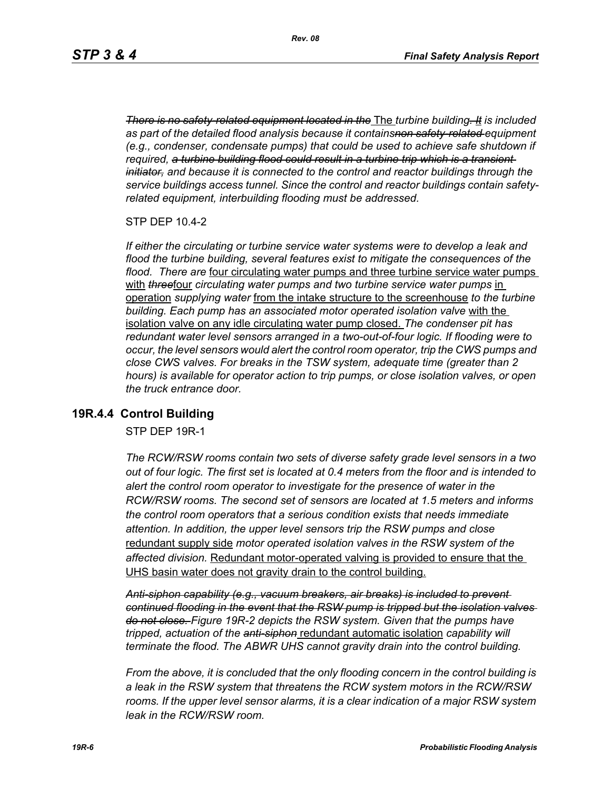*There is no safety-related equipment located in the* The *turbine building. It is included as part of the detailed flood analysis because it containsnon safety-related equipment (e.g., condenser, condensate pumps) that could be used to achieve safe shutdown if required, a turbine building flood could result in a turbine trip which is a transient initiator, and because it is connected to the control and reactor buildings through the service buildings access tunnel. Since the control and reactor buildings contain safetyrelated equipment, interbuilding flooding must be addressed.*

STP DEP 10.4-2

*If either the circulating or turbine service water systems were to develop a leak and flood the turbine building, several features exist to mitigate the consequences of the flood. There are* four circulating water pumps and three turbine service water pumps with **threefour** circulating water pumps and two turbine service water pumps in operation *supplying water* from the intake structure to the screenhouse *to the turbine building. Each pump has an associated motor operated isolation valve* with the isolation valve on any idle circulating water pump closed. *The condenser pit has redundant water level sensors arranged in a two-out-of-four logic. If flooding were to occur, the level sensors would alert the control room operator, trip the CWS pumps and close CWS valves. For breaks in the TSW system, adequate time (greater than 2 hours) is available for operator action to trip pumps, or close isolation valves, or open the truck entrance door.*

#### **19R.4.4 Control Building**

STP DEP 19R-1

*The RCW/RSW rooms contain two sets of diverse safety grade level sensors in a two out of four logic. The first set is located at 0.4 meters from the floor and is intended to alert the control room operator to investigate for the presence of water in the RCW/RSW rooms. The second set of sensors are located at 1.5 meters and informs the control room operators that a serious condition exists that needs immediate attention. In addition, the upper level sensors trip the RSW pumps and close*  redundant supply side *motor operated isolation valves in the RSW system of the affected division.* Redundant motor-operated valving is provided to ensure that the UHS basin water does not gravity drain to the control building.

*Anti-siphon capability (e.g., vacuum breakers, air breaks) is included to prevent continued flooding in the event that the RSW pump is tripped but the isolation valves do not close. Figure 19R-2 depicts the RSW system. Given that the pumps have tripped, actuation of the anti-siphon* redundant automatic isolation *capability will terminate the flood. The ABWR UHS cannot gravity drain into the control building.*

*From the above, it is concluded that the only flooding concern in the control building is a leak in the RSW system that threatens the RCW system motors in the RCW/RSW*  rooms. If the upper level sensor alarms, it is a clear indication of a major RSW system *leak in the RCW/RSW room.*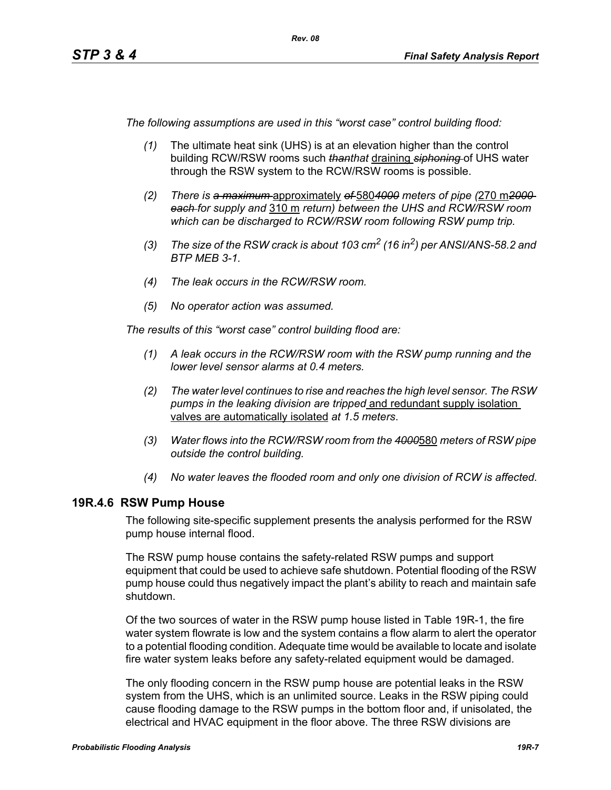*The following assumptions are used in this "worst case" control building flood:*

- *(1)* The ultimate heat sink (UHS) is at an elevation higher than the control building RCW/RSW rooms such *thanthat* draining *siphoning* of UHS water through the RSW system to the RCW/RSW rooms is possible.
- *(2) There is a maximum* approximately *of* 580*4000 meters of pipe (*270 m*2000 each for supply and* 310 m *return) between the UHS and RCW/RSW room which can be discharged to RCW/RSW room following RSW pump trip.*
- *(3) The size of the RSW crack is about 103 cm2 (16 in2) per ANSI/ANS-58.2 and BTP MEB 3-1.*
- *(4) The leak occurs in the RCW/RSW room.*
- *(5) No operator action was assumed.*

*The results of this "worst case" control building flood are:*

- *(1) A leak occurs in the RCW/RSW room with the RSW pump running and the lower level sensor alarms at 0.4 meters.*
- *(2) The water level continues to rise and reaches the high level sensor. The RSW pumps in the leaking division are tripped* and redundant supply isolation valves are automatically isolated *at 1.5 meters*.
- *(3) Water flows into the RCW/RSW room from the 4000*580 *meters of RSW pipe outside the control building.*
- *(4) No water leaves the flooded room and only one division of RCW is affected.*

#### **19R.4.6 RSW Pump House**

The following site-specific supplement presents the analysis performed for the RSW pump house internal flood.

The RSW pump house contains the safety-related RSW pumps and support equipment that could be used to achieve safe shutdown. Potential flooding of the RSW pump house could thus negatively impact the plant's ability to reach and maintain safe shutdown.

Of the two sources of water in the RSW pump house listed in Table 19R-1, the fire water system flowrate is low and the system contains a flow alarm to alert the operator to a potential flooding condition. Adequate time would be available to locate and isolate fire water system leaks before any safety-related equipment would be damaged.

The only flooding concern in the RSW pump house are potential leaks in the RSW system from the UHS, which is an unlimited source. Leaks in the RSW piping could cause flooding damage to the RSW pumps in the bottom floor and, if unisolated, the electrical and HVAC equipment in the floor above. The three RSW divisions are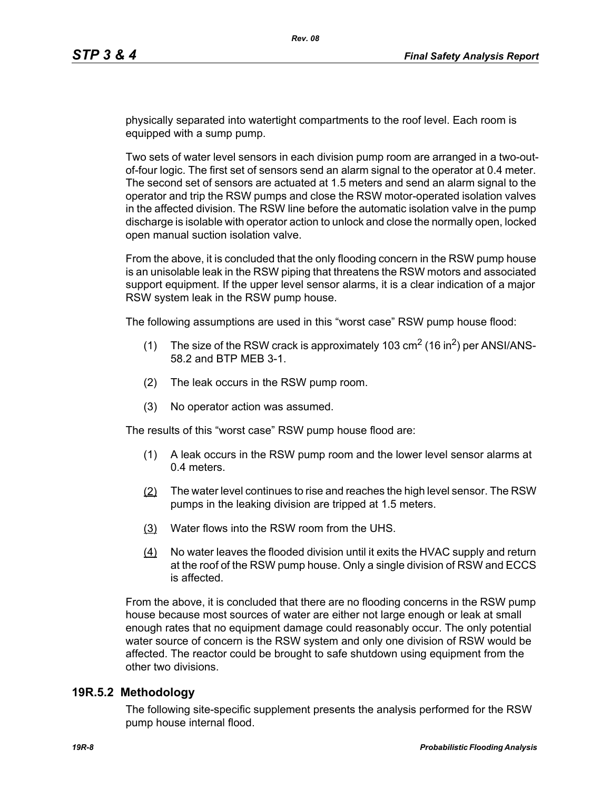physically separated into watertight compartments to the roof level. Each room is equipped with a sump pump.

Two sets of water level sensors in each division pump room are arranged in a two-outof-four logic. The first set of sensors send an alarm signal to the operator at 0.4 meter. The second set of sensors are actuated at 1.5 meters and send an alarm signal to the operator and trip the RSW pumps and close the RSW motor-operated isolation valves in the affected division. The RSW line before the automatic isolation valve in the pump discharge is isolable with operator action to unlock and close the normally open, locked open manual suction isolation valve.

From the above, it is concluded that the only flooding concern in the RSW pump house is an unisolable leak in the RSW piping that threatens the RSW motors and associated support equipment. If the upper level sensor alarms, it is a clear indication of a major RSW system leak in the RSW pump house.

The following assumptions are used in this "worst case" RSW pump house flood:

- (1) The size of the RSW crack is approximately 103  $\text{cm}^2$  (16 in<sup>2</sup>) per ANSI/ANS-58.2 and BTP MEB 3-1.
- (2) The leak occurs in the RSW pump room.
- (3) No operator action was assumed.

The results of this "worst case" RSW pump house flood are:

- (1) A leak occurs in the RSW pump room and the lower level sensor alarms at 0.4 meters.
- (2) The water level continues to rise and reaches the high level sensor. The RSW pumps in the leaking division are tripped at 1.5 meters.
- (3) Water flows into the RSW room from the UHS.
- (4) No water leaves the flooded division until it exits the HVAC supply and return at the roof of the RSW pump house. Only a single division of RSW and ECCS is affected.

From the above, it is concluded that there are no flooding concerns in the RSW pump house because most sources of water are either not large enough or leak at small enough rates that no equipment damage could reasonably occur. The only potential water source of concern is the RSW system and only one division of RSW would be affected. The reactor could be brought to safe shutdown using equipment from the other two divisions.

#### **19R.5.2 Methodology**

The following site-specific supplement presents the analysis performed for the RSW pump house internal flood.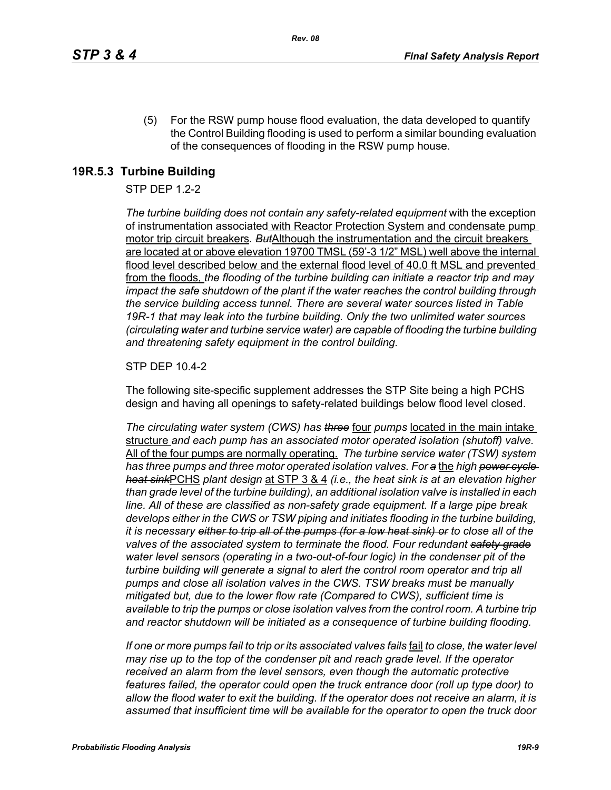(5) For the RSW pump house flood evaluation, the data developed to quantify the Control Building flooding is used to perform a similar bounding evaluation of the consequences of flooding in the RSW pump house.

### **19R.5.3 Turbine Building**

### STP DEP 1.2-2

*The turbine building does not contain any safety-related equipment* with the exception of instrumentation associated with Reactor Protection System and condensate pump motor trip circuit breakers*. But*Although the instrumentation and the circuit breakers are located at or above elevation 19700 TMSL (59'-3 1/2" MSL) well above the internal flood level described below and the external flood level of 40.0 ft MSL and prevented from the floods, *the flooding of the turbine building can initiate a reactor trip and may impact the safe shutdown of the plant if the water reaches the control building through the service building access tunnel. There are several water sources listed in Table 19R-1 that may leak into the turbine building. Only the two unlimited water sources (circulating water and turbine service water) are capable of flooding the turbine building and threatening safety equipment in the control building.*

#### STP DEP 10.4-2

The following site-specific supplement addresses the STP Site being a high PCHS design and having all openings to safety-related buildings below flood level closed.

*The circulating water system (CWS) has three* four *pumps* located in the main intake structure *and each pump has an associated motor operated isolation (shutoff) valve.*  All of the four pumps are normally operating. *The turbine service water (TSW) system has three pumps and three motor operated isolation valves. For a* the *high power cycle heat sink*PCHS *plant design* at STP 3 & 4 *(i.e., the heat sink is at an elevation higher than grade level of the turbine building), an additional isolation valve is installed in each line. All of these are classified as non-safety grade equipment. If a large pipe break develops either in the CWS or TSW piping and initiates flooding in the turbine building, it is necessary either to trip all of the pumps (for a low heat sink) or to close all of the valves of the associated system to terminate the flood. Four redundant safety grade water level sensors (operating in a two-out-of-four logic) in the condenser pit of the turbine building will generate a signal to alert the control room operator and trip all pumps and close all isolation valves in the CWS. TSW breaks must be manually mitigated but, due to the lower flow rate (Compared to CWS), sufficient time is available to trip the pumps or close isolation valves from the control room. A turbine trip and reactor shutdown will be initiated as a consequence of turbine building flooding.*

*If one or more pumps fail to trip or its associated valves fails* fail *to close, the water level may rise up to the top of the condenser pit and reach grade level. If the operator received an alarm from the level sensors, even though the automatic protective features failed, the operator could open the truck entrance door (roll up type door) to allow the flood water to exit the building. If the operator does not receive an alarm, it is assumed that insufficient time will be available for the operator to open the truck door*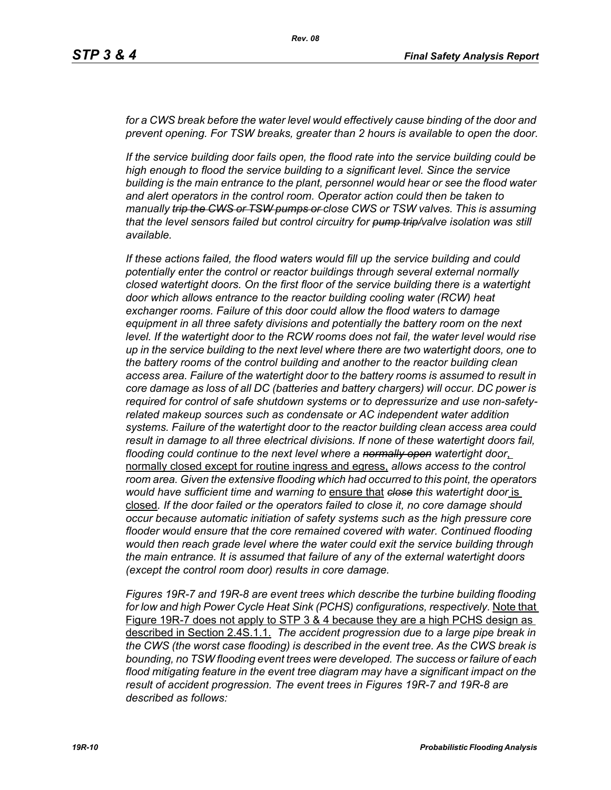for a CWS break before the water level would effectively cause binding of the door and *prevent opening. For TSW breaks, greater than 2 hours is available to open the door.*

*If the service building door fails open, the flood rate into the service building could be high enough to flood the service building to a significant level. Since the service building is the main entrance to the plant, personnel would hear or see the flood water and alert operators in the control room. Operator action could then be taken to manually trip the CWS or TSW pumps or close CWS or TSW valves. This is assuming that the level sensors failed but control circuitry for pump trip/valve isolation was still available.*

*If these actions failed, the flood waters would fill up the service building and could potentially enter the control or reactor buildings through several external normally closed watertight doors. On the first floor of the service building there is a watertight door which allows entrance to the reactor building cooling water (RCW) heat exchanger rooms. Failure of this door could allow the flood waters to damage equipment in all three safety divisions and potentially the battery room on the next*  level. If the watertight door to the RCW rooms does not fail, the water level would rise *up in the service building to the next level where there are two watertight doors, one to the battery rooms of the control building and another to the reactor building clean access area. Failure of the watertight door to the battery rooms is assumed to result in core damage as loss of all DC (batteries and battery chargers) will occur. DC power is required for control of safe shutdown systems or to depressurize and use non-safetyrelated makeup sources such as condensate or AC independent water addition systems. Failure of the watertight door to the reactor building clean access area could result in damage to all three electrical divisions. If none of these watertight doors fail, flooding could continue to the next level where a normally open watertight door*, normally closed except for routine ingress and egress, *allows access to the control room area. Given the extensive flooding which had occurred to this point, the operators would have sufficient time and warning to* ensure that *close this watertight door* is closed*. If the door failed or the operators failed to close it, no core damage should occur because automatic initiation of safety systems such as the high pressure core flooder would ensure that the core remained covered with water. Continued flooding would then reach grade level where the water could exit the service building through the main entrance. It is assumed that failure of any of the external watertight doors (except the control room door) results in core damage.*

*Figures 19R-7 and 19R-8 are event trees which describe the turbine building flooding for low and high Power Cycle Heat Sink (PCHS) configurations, respectively.* Note that Figure 19R-7 does not apply to STP 3 & 4 because they are a high PCHS design as described in Section 2.4S.1.1. *The accident progression due to a large pipe break in the CWS (the worst case flooding) is described in the event tree. As the CWS break is bounding, no TSW flooding event trees were developed. The success or failure of each flood mitigating feature in the event tree diagram may have a significant impact on the result of accident progression. The event trees in Figures 19R-7 and 19R-8 are described as follows:*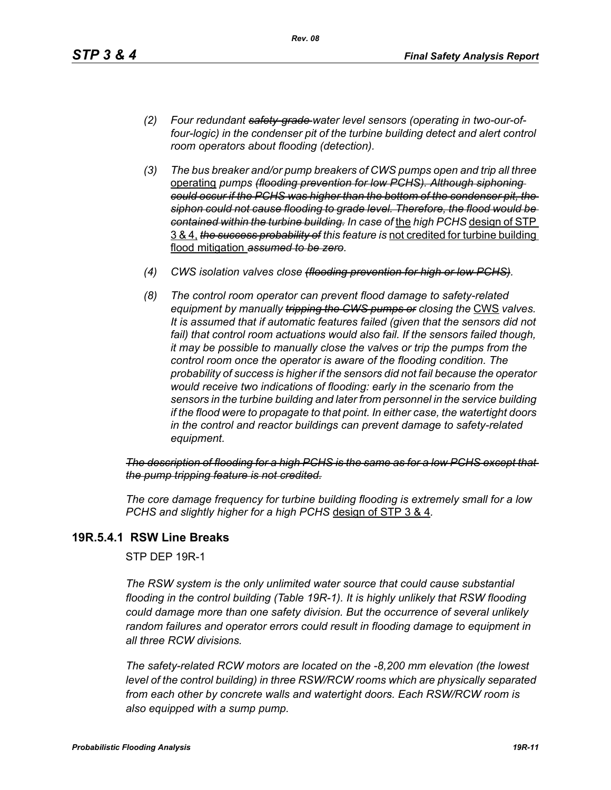- *(2) Four redundant safety-grade water level sensors (operating in two-our-offour-logic) in the condenser pit of the turbine building detect and alert control room operators about flooding (detection).*
- *(3) The bus breaker and/or pump breakers of CWS pumps open and trip all three*  operating *pumps (flooding prevention for low PCHS). Although siphoning could occur if the PCHS was higher than the bottom of the condenser pit, the siphon could not cause flooding to grade level. Therefore, the flood would be contained within the turbine building. In case of* the *high PCHS* design of STP 3 & 4, *the success probability of this feature is* not credited for turbine building flood mitigation *assumed to be zero.*
- *(4) CWS isolation valves close (flooding prevention for high or low PCHS).*
- *(8) The control room operator can prevent flood damage to safety-related equipment by manually tripping the GWS pumps or closing the CWS valves. It is assumed that if automatic features failed (given that the sensors did not*  fail) that control room actuations would also fail. If the sensors failed though, *it may be possible to manually close the valves or trip the pumps from the control room once the operator is aware of the flooding condition. The probability of success is higher if the sensors did not fail because the operator would receive two indications of flooding: early in the scenario from the sensors in the turbine building and later from personnel in the service building if the flood were to propagate to that point. In either case, the watertight doors in the control and reactor buildings can prevent damage to safety-related equipment.*

*The description of flooding for a high PCHS is the same as for a low PCHS except that the pump tripping feature is not credited.*

*The core damage frequency for turbine building flooding is extremely small for a low PCHS and slightly higher for a high PCHS* design of STP 3 & 4*.*

### **19R.5.4.1 RSW Line Breaks**

STP DEP 19R-1

*The RSW system is the only unlimited water source that could cause substantial flooding in the control building (Table 19R-1). It is highly unlikely that RSW flooding could damage more than one safety division. But the occurrence of several unlikely random failures and operator errors could result in flooding damage to equipment in all three RCW divisions.* 

*The safety-related RCW motors are located on the -8,200 mm elevation (the lowest level of the control building) in three RSW/RCW rooms which are physically separated from each other by concrete walls and watertight doors. Each RSW/RCW room is also equipped with a sump pump.*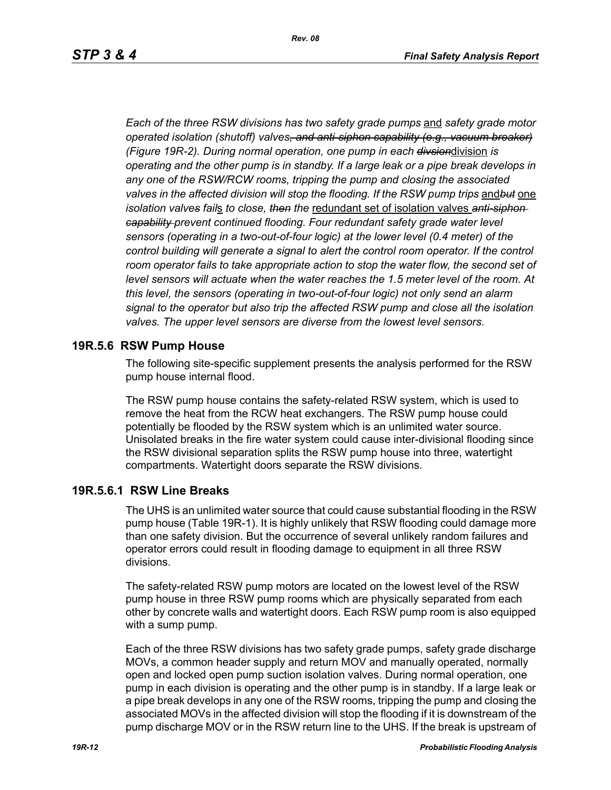*Each of the three RSW divisions has two safety grade pumps* and *safety grade motor operated isolation (shutoff) valves, and anti-siphon capability (e.g., vacuum breaker) (Figure 19R-2). During normal operation, one pump in each divsion*division *is operating and the other pump is in standby. If a large leak or a pipe break develops in any one of the RSW/RCW rooms, tripping the pump and closing the associated valves in the affected division will stop the flooding. If the RSW pump trips* and*but* one *isolation valves fail*s *to close, then the* redundant set of isolation valves *anti-siphon capability prevent continued flooding. Four redundant safety grade water level sensors (operating in a two-out-of-four logic) at the lower level (0.4 meter) of the control building will generate a signal to alert the control room operator. If the control* room operator fails to take appropriate action to stop the water flow, the second set of *level sensors will actuate when the water reaches the 1.5 meter level of the room. At this level, the sensors (operating in two-out-of-four logic) not only send an alarm signal to the operator but also trip the affected RSW pump and close all the isolation valves. The upper level sensors are diverse from the lowest level sensors.*

#### **19R.5.6 RSW Pump House**

The following site-specific supplement presents the analysis performed for the RSW pump house internal flood.

The RSW pump house contains the safety-related RSW system, which is used to remove the heat from the RCW heat exchangers. The RSW pump house could potentially be flooded by the RSW system which is an unlimited water source. Unisolated breaks in the fire water system could cause inter-divisional flooding since the RSW divisional separation splits the RSW pump house into three, watertight compartments. Watertight doors separate the RSW divisions.

#### **19R.5.6.1 RSW Line Breaks**

The UHS is an unlimited water source that could cause substantial flooding in the RSW pump house (Table 19R-1). It is highly unlikely that RSW flooding could damage more than one safety division. But the occurrence of several unlikely random failures and operator errors could result in flooding damage to equipment in all three RSW divisions.

The safety-related RSW pump motors are located on the lowest level of the RSW pump house in three RSW pump rooms which are physically separated from each other by concrete walls and watertight doors. Each RSW pump room is also equipped with a sump pump.

Each of the three RSW divisions has two safety grade pumps, safety grade discharge MOVs, a common header supply and return MOV and manually operated, normally open and locked open pump suction isolation valves. During normal operation, one pump in each division is operating and the other pump is in standby. If a large leak or a pipe break develops in any one of the RSW rooms, tripping the pump and closing the associated MOVs in the affected division will stop the flooding if it is downstream of the pump discharge MOV or in the RSW return line to the UHS. If the break is upstream of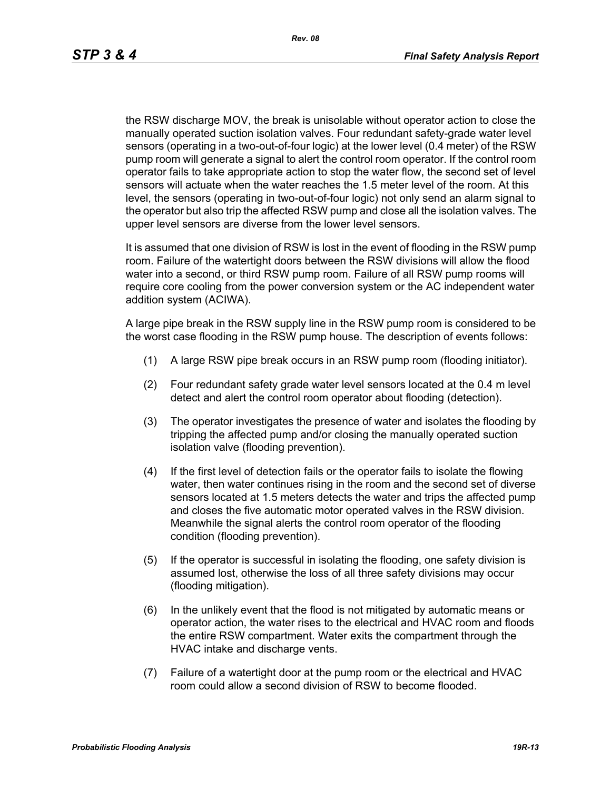the RSW discharge MOV, the break is unisolable without operator action to close the manually operated suction isolation valves. Four redundant safety-grade water level sensors (operating in a two-out-of-four logic) at the lower level (0.4 meter) of the RSW pump room will generate a signal to alert the control room operator. If the control room operator fails to take appropriate action to stop the water flow, the second set of level sensors will actuate when the water reaches the 1.5 meter level of the room. At this level, the sensors (operating in two-out-of-four logic) not only send an alarm signal to the operator but also trip the affected RSW pump and close all the isolation valves. The upper level sensors are diverse from the lower level sensors.

It is assumed that one division of RSW is lost in the event of flooding in the RSW pump room. Failure of the watertight doors between the RSW divisions will allow the flood water into a second, or third RSW pump room. Failure of all RSW pump rooms will require core cooling from the power conversion system or the AC independent water addition system (ACIWA).

A large pipe break in the RSW supply line in the RSW pump room is considered to be the worst case flooding in the RSW pump house. The description of events follows:

- (1) A large RSW pipe break occurs in an RSW pump room (flooding initiator).
- (2) Four redundant safety grade water level sensors located at the 0.4 m level detect and alert the control room operator about flooding (detection).
- (3) The operator investigates the presence of water and isolates the flooding by tripping the affected pump and/or closing the manually operated suction isolation valve (flooding prevention).
- (4) If the first level of detection fails or the operator fails to isolate the flowing water, then water continues rising in the room and the second set of diverse sensors located at 1.5 meters detects the water and trips the affected pump and closes the five automatic motor operated valves in the RSW division. Meanwhile the signal alerts the control room operator of the flooding condition (flooding prevention).
- (5) If the operator is successful in isolating the flooding, one safety division is assumed lost, otherwise the loss of all three safety divisions may occur (flooding mitigation).
- (6) In the unlikely event that the flood is not mitigated by automatic means or operator action, the water rises to the electrical and HVAC room and floods the entire RSW compartment. Water exits the compartment through the HVAC intake and discharge vents.
- (7) Failure of a watertight door at the pump room or the electrical and HVAC room could allow a second division of RSW to become flooded.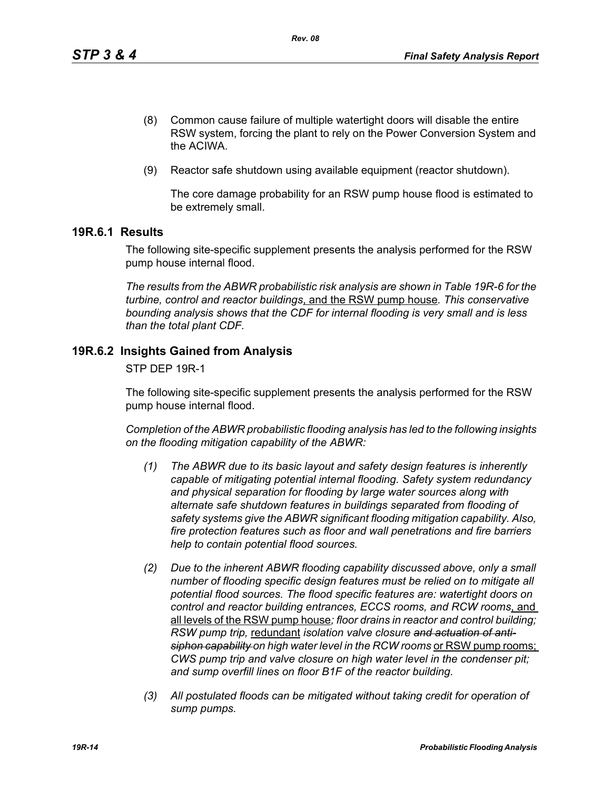- (8) Common cause failure of multiple watertight doors will disable the entire RSW system, forcing the plant to rely on the Power Conversion System and the ACIWA.
- (9) Reactor safe shutdown using available equipment (reactor shutdown).

The core damage probability for an RSW pump house flood is estimated to be extremely small.

### **19R.6.1 Results**

The following site-specific supplement presents the analysis performed for the RSW pump house internal flood.

*The results from the ABWR probabilistic risk analysis are shown in Table 19R-6 for the turbine, control and reactor buildings*, and the RSW pump house*. This conservative bounding analysis shows that the CDF for internal flooding is very small and is less than the total plant CDF.*

### **19R.6.2 Insights Gained from Analysis**

STP DEP 19R-1

The following site-specific supplement presents the analysis performed for the RSW pump house internal flood.

*Completion of the ABWR probabilistic flooding analysis has led to the following insights on the flooding mitigation capability of the ABWR:*

- *(1) The ABWR due to its basic layout and safety design features is inherently capable of mitigating potential internal flooding. Safety system redundancy and physical separation for flooding by large water sources along with alternate safe shutdown features in buildings separated from flooding of safety systems give the ABWR significant flooding mitigation capability. Also, fire protection features such as floor and wall penetrations and fire barriers help to contain potential flood sources.*
- *(2) Due to the inherent ABWR flooding capability discussed above, only a small number of flooding specific design features must be relied on to mitigate all potential flood sources. The flood specific features are: watertight doors on control and reactor building entrances, ECCS rooms, and RCW rooms*, and all levels of the RSW pump house*; floor drains in reactor and control building; RSW pump trip,* redundant *isolation valve closure and actuation of anti*siphon capability on high water level in the RCW rooms or RSW pump rooms; *CWS pump trip and valve closure on high water level in the condenser pit; and sump overfill lines on floor B1F of the reactor building.*
- *(3) All postulated floods can be mitigated without taking credit for operation of sump pumps.*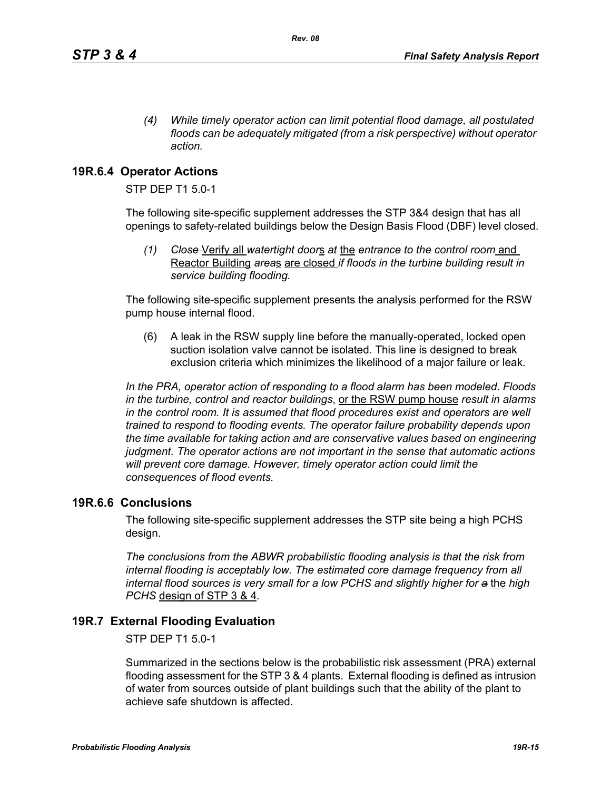*(4) While timely operator action can limit potential flood damage, all postulated floods can be adequately mitigated (from a risk perspective) without operator action.*

## **19R.6.4 Operator Actions**

STP DEP T1 5.0-1

The following site-specific supplement addresses the STP 3&4 design that has all openings to safety-related buildings below the Design Basis Flood (DBF) level closed.

*(1) Close* Verify all *watertight door*s *at* the *entrance to the control room* and Reactor Building *area*s are closed *if floods in the turbine building result in service building flooding.*

The following site-specific supplement presents the analysis performed for the RSW pump house internal flood.

(6) A leak in the RSW supply line before the manually-operated, locked open suction isolation valve cannot be isolated. This line is designed to break exclusion criteria which minimizes the likelihood of a major failure or leak.

*In the PRA, operator action of responding to a flood alarm has been modeled. Floods in the turbine, control and reactor buildings*, or the RSW pump house *result in alarms in the control room. It is assumed that flood procedures exist and operators are well trained to respond to flooding events. The operator failure probability depends upon the time available for taking action and are conservative values based on engineering judgment. The operator actions are not important in the sense that automatic actions will prevent core damage. However, timely operator action could limit the consequences of flood events.* 

### **19R.6.6 Conclusions**

The following site-specific supplement addresses the STP site being a high PCHS design.

*The conclusions from the ABWR probabilistic flooding analysis is that the risk from internal flooding is acceptably low. The estimated core damage frequency from all internal flood sources is very small for a low PCHS and slightly higher for a* the *high PCHS* design of STP 3 & 4*.*

### **19R.7 External Flooding Evaluation**

STP DEP T1 5.0-1

Summarized in the sections below is the probabilistic risk assessment (PRA) external flooding assessment for the STP 3 & 4 plants. External flooding is defined as intrusion of water from sources outside of plant buildings such that the ability of the plant to achieve safe shutdown is affected.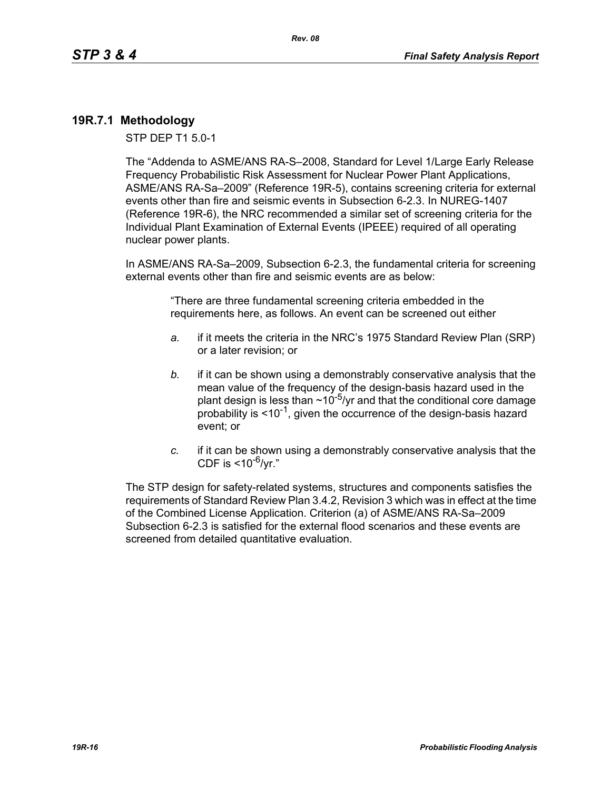## **19R.7.1 Methodology**

STP DEP T1 5.0-1

The "Addenda to ASME/ANS RA-S–2008, Standard for Level 1/Large Early Release Frequency Probabilistic Risk Assessment for Nuclear Power Plant Applications, ASME/ANS RA-Sa–2009" (Reference 19R-5), contains screening criteria for external events other than fire and seismic events in Subsection 6-2.3. In NUREG-1407 (Reference 19R-6), the NRC recommended a similar set of screening criteria for the Individual Plant Examination of External Events (IPEEE) required of all operating nuclear power plants.

In ASME/ANS RA-Sa–2009, Subsection 6-2.3, the fundamental criteria for screening external events other than fire and seismic events are as below:

> "There are three fundamental screening criteria embedded in the requirements here, as follows. An event can be screened out either

- *a.* if it meets the criteria in the NRC's 1975 Standard Review Plan (SRP) or a later revision; or
- *b.* if it can be shown using a demonstrably conservative analysis that the mean value of the frequency of the design-basis hazard used in the plant design is less than  $\sim 10^{-5}$ /yr and that the conditional core damage probability is  $\leq 10^{-1}$ , given the occurrence of the design-basis hazard event; or
- *c.* if it can be shown using a demonstrably conservative analysis that the CDF is  $<$ 10<sup>-6</sup>/vr."

The STP design for safety-related systems, structures and components satisfies the requirements of Standard Review Plan 3.4.2, Revision 3 which was in effect at the time of the Combined License Application. Criterion (a) of ASME/ANS RA-Sa–2009 Subsection 6-2.3 is satisfied for the external flood scenarios and these events are screened from detailed quantitative evaluation.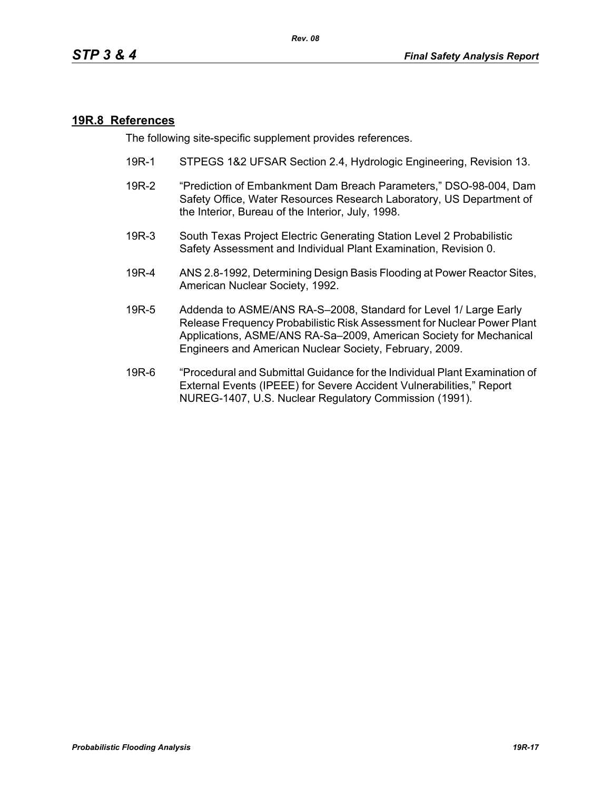### **19R.8 References**

The following site-specific supplement provides references.

- 19R-1 STPEGS 1&2 UFSAR Section 2.4, Hydrologic Engineering, Revision 13.
- 19R-2 "Prediction of Embankment Dam Breach Parameters," DSO-98-004, Dam Safety Office, Water Resources Research Laboratory, US Department of the Interior, Bureau of the Interior, July, 1998.
- 19R-3 South Texas Project Electric Generating Station Level 2 Probabilistic Safety Assessment and Individual Plant Examination, Revision 0.
- 19R-4 ANS 2.8-1992, Determining Design Basis Flooding at Power Reactor Sites, American Nuclear Society, 1992.
- 19R-5 Addenda to ASME/ANS RA-S–2008, Standard for Level 1/ Large Early Release Frequency Probabilistic Risk Assessment for Nuclear Power Plant Applications, ASME/ANS RA-Sa–2009, American Society for Mechanical Engineers and American Nuclear Society, February, 2009.
- 19R-6 "Procedural and Submittal Guidance for the Individual Plant Examination of External Events (IPEEE) for Severe Accident Vulnerabilities," Report NUREG-1407, U.S. Nuclear Regulatory Commission (1991).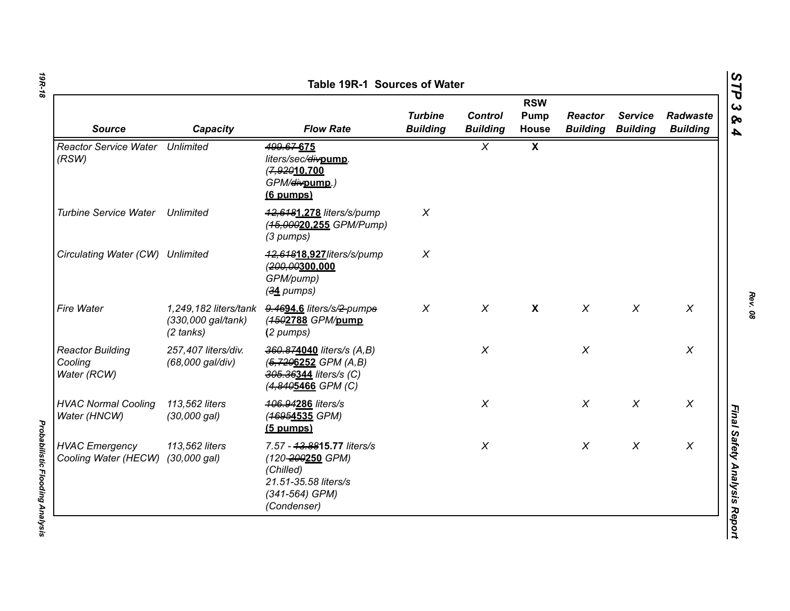| <b>Source</b>                                     | Capacity                                  | <b>Flow Rate</b>                                                                                                     | <b>Turbine</b><br><b>Building</b> | <b>Control</b><br><b>Building</b> | <b>RSW</b><br>Pump<br>House | <b>Reactor</b><br><b>Building</b> | <b>Service</b><br><b>Building</b> | Radwaste<br><b>Building</b> |
|---------------------------------------------------|-------------------------------------------|----------------------------------------------------------------------------------------------------------------------|-----------------------------------|-----------------------------------|-----------------------------|-----------------------------------|-----------------------------------|-----------------------------|
| <b>Reactor Service Water Unlimited</b><br>(RSW)   |                                           | 499.67-675<br>liters/sec/divpump.<br>(7,92010.700<br>GPM/ <del>div</del> pump.)<br>(6 pumps)                         |                                   | $\chi$                            | $\boldsymbol{\mathsf{X}}$   |                                   |                                   |                             |
| <b>Turbine Service Water</b>                      | Unlimited                                 | 42,6481,278 liters/s/pump<br>(45,00020.255 GPM/Pump)<br>(3 pumps)                                                    | $\chi$                            |                                   |                             |                                   |                                   |                             |
| Circulating Water (CW) Unlimited                  |                                           | 42,64818.927/iters/s/pump<br>(200,00300,000<br>GPM/pump)<br>$(34$ pumps)                                             | $\boldsymbol{X}$                  |                                   |                             |                                   |                                   |                             |
| <b>Fire Water</b>                                 | (330,000 gal/tank)<br>$(2 \text{ tanks})$ | 1,249,182 liters/tank 9.4694.6 liters/s/2-pumps<br>(4502788 GPM/pump<br>(2 pumps)                                    | $\chi$                            | $\chi$                            | $\boldsymbol{\mathsf{X}}$   | $\chi$                            | $\chi$                            | $\chi$                      |
| <b>Reactor Building</b><br>Cooling<br>Water (RCW) | 257,407 liters/div.<br>(68,000 gal/div)   | 360.874040 liters/s (A,B)<br>$(5, 7206252 \text{ GPM } (A, B))$<br>305.36344 liters/s (C)<br>(4,8405466 GPM (C)      |                                   | $\chi$                            |                             | $\chi$                            |                                   | $\chi$                      |
| <b>HVAC Normal Cooling</b><br>Water (HNCW)        | 113,562 liters<br>(30,000 gal)            | 406.94286 liters/s<br>(46954535 GPM)<br>$(5$ pumps)                                                                  |                                   | $\chi$                            |                             | $\chi$                            | $\chi$                            | X                           |
| <b>HVAC Emergency</b><br>Cooling Water (HECW)     | 113,562 liters<br>$(30,000 \text{ gal})$  | 7.57 - 43.8815.77 liters/s<br>(120-200250 GPM)<br>(Chilled)<br>21.51-35.58 liters/s<br>(341-564) GPM)<br>(Condenser) |                                   | $\chi$                            |                             | $\chi$                            | $\chi$                            | $\chi$                      |

*Probabilistic Flooding Analysis* 

**Probabilistic Flooding Analysis**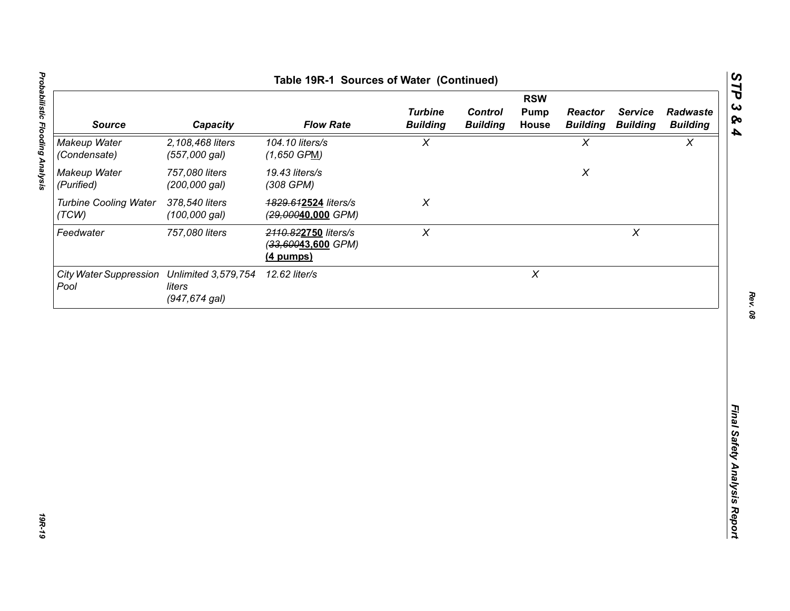| <b>Source</b>                                      | Capacity                          | <b>Flow Rate</b>                                        | <b>Turbine</b><br><b>Building</b> | <b>Control</b><br><b>Building</b> | <b>RSW</b><br><b>Pump</b><br>House | <b>Reactor</b><br><b>Building</b> | <b>Service</b><br><b>Building</b> | Radwaste<br><b>Building</b> |
|----------------------------------------------------|-----------------------------------|---------------------------------------------------------|-----------------------------------|-----------------------------------|------------------------------------|-----------------------------------|-----------------------------------|-----------------------------|
| Makeup Water<br>(Condensate)                       | 2,108,468 liters<br>(557,000 gal) | 104.10 liters/s<br>$(1,650$ GPM)                        | $\chi$                            |                                   |                                    | $\chi$                            |                                   | $\chi$                      |
| Makeup Water<br>(Purified)                         | 757,080 liters<br>(200,000 gal)   | 19.43 liters/s<br>(308 GPM)                             |                                   |                                   |                                    | $\pmb{\chi}$                      |                                   |                             |
| <b>Turbine Cooling Water</b><br>(TCW)              | 378,540 liters<br>$(100,000$ gal) | 4829.612524 liters/s<br>(29,00040,000 GPM)              | $\chi$                            |                                   |                                    |                                   |                                   |                             |
| Feedwater                                          | 757,080 liters                    | 2110.822750 liters/s<br>(33,60043,600 GPM)<br>(4 pumps) | $\pmb{\chi}$                      |                                   |                                    |                                   | $\pmb{\times}$                    |                             |
| City Water Suppression Unlimited 3,579,754<br>Pool | liters<br>$(947, 674$ gal)        | 12.62 liter/s                                           |                                   |                                   | $\boldsymbol{X}$                   |                                   |                                   |                             |
|                                                    |                                   |                                                         |                                   |                                   |                                    |                                   |                                   |                             |
|                                                    |                                   |                                                         |                                   |                                   |                                    |                                   |                                   |                             |
|                                                    |                                   |                                                         |                                   |                                   |                                    |                                   |                                   |                             |
|                                                    |                                   |                                                         |                                   |                                   |                                    |                                   |                                   |                             |
|                                                    |                                   |                                                         |                                   |                                   |                                    |                                   |                                   |                             |
|                                                    |                                   |                                                         |                                   |                                   |                                    |                                   |                                   |                             |
|                                                    |                                   |                                                         |                                   |                                   |                                    |                                   |                                   |                             |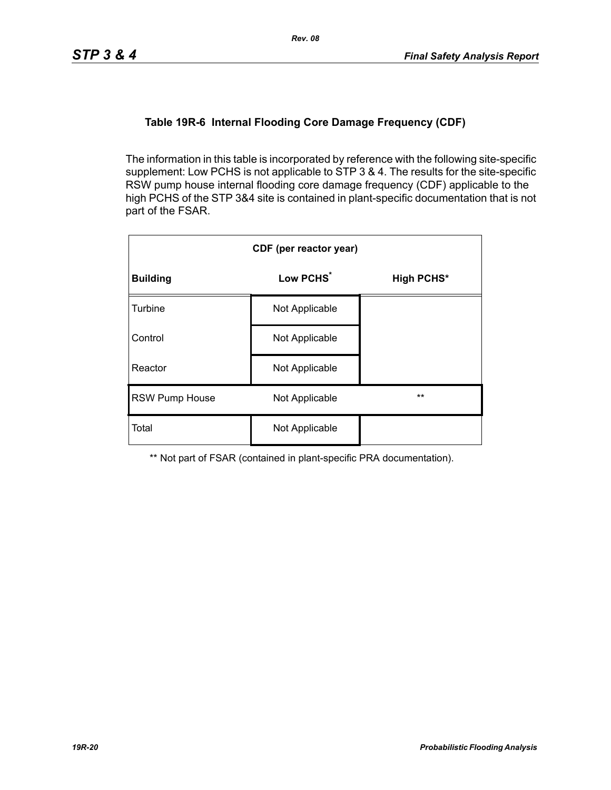### **Table 19R-6 Internal Flooding Core Damage Frequency (CDF)**

The information in this table is incorporated by reference with the following site-specific supplement: Low PCHS is not applicable to STP 3 & 4. The results for the site-specific RSW pump house internal flooding core damage frequency (CDF) applicable to the high PCHS of the STP 3&4 site is contained in plant-specific documentation that is not part of the FSAR.

| CDF (per reactor year) |                       |                   |  |  |  |
|------------------------|-----------------------|-------------------|--|--|--|
| <b>Building</b>        | Low PCHS <sup>*</sup> | <b>High PCHS*</b> |  |  |  |
| Turbine                | Not Applicable        |                   |  |  |  |
| Control                | Not Applicable        |                   |  |  |  |
| Reactor                | Not Applicable        |                   |  |  |  |
| <b>RSW Pump House</b>  | Not Applicable        | $***$             |  |  |  |
| Total                  | Not Applicable        |                   |  |  |  |

\*\* Not part of FSAR (contained in plant-specific PRA documentation).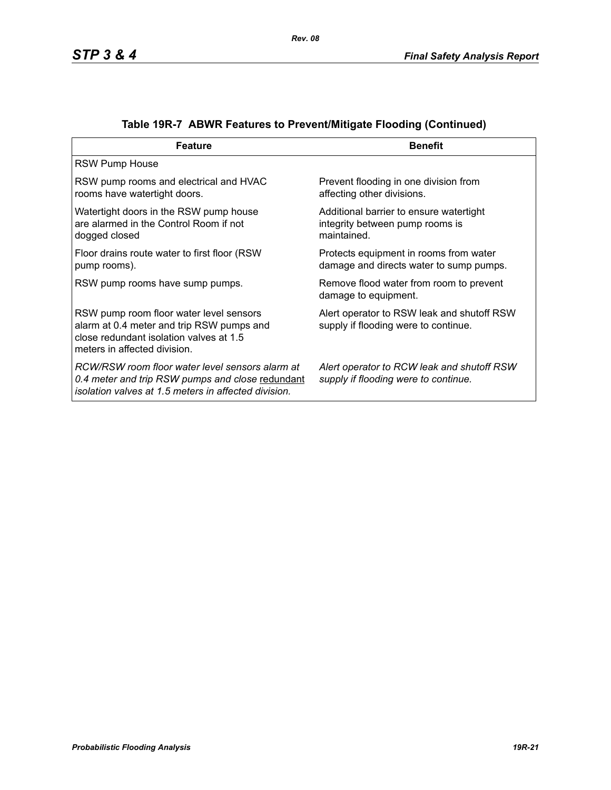| <b>Feature</b>                                                                                                                                                  | <b>Benefit</b>                                                                            |
|-----------------------------------------------------------------------------------------------------------------------------------------------------------------|-------------------------------------------------------------------------------------------|
| <b>RSW Pump House</b>                                                                                                                                           |                                                                                           |
| RSW pump rooms and electrical and HVAC<br>rooms have watertight doors.                                                                                          | Prevent flooding in one division from<br>affecting other divisions.                       |
| Watertight doors in the RSW pump house<br>are alarmed in the Control Room if not<br>dogged closed                                                               | Additional barrier to ensure watertight<br>integrity between pump rooms is<br>maintained. |
| Floor drains route water to first floor (RSW)<br>pump rooms).                                                                                                   | Protects equipment in rooms from water<br>damage and directs water to sump pumps.         |
| RSW pump rooms have sump pumps.                                                                                                                                 | Remove flood water from room to prevent<br>damage to equipment.                           |
| RSW pump room floor water level sensors<br>alarm at 0.4 meter and trip RSW pumps and<br>close redundant isolation valves at 1.5<br>meters in affected division. | Alert operator to RSW leak and shutoff RSW<br>supply if flooding were to continue.        |
| RCW/RSW room floor water level sensors alarm at<br>0.4 meter and trip RSW pumps and close redundant<br>isolation valves at 1.5 meters in affected division.     | Alert operator to RCW leak and shutoff RSW<br>supply if flooding were to continue.        |

# **Table 19R-7 ABWR Features to Prevent/Mitigate Flooding (Continued)**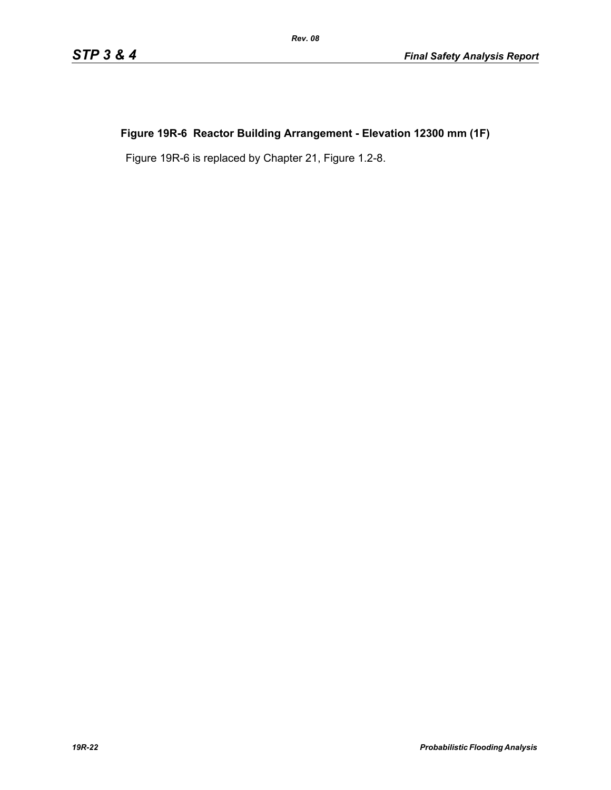# **Figure 19R-6 Reactor Building Arrangement - Elevation 12300 mm (1F)**

Figure 19R-6 is replaced by Chapter 21, Figure 1.2-8.